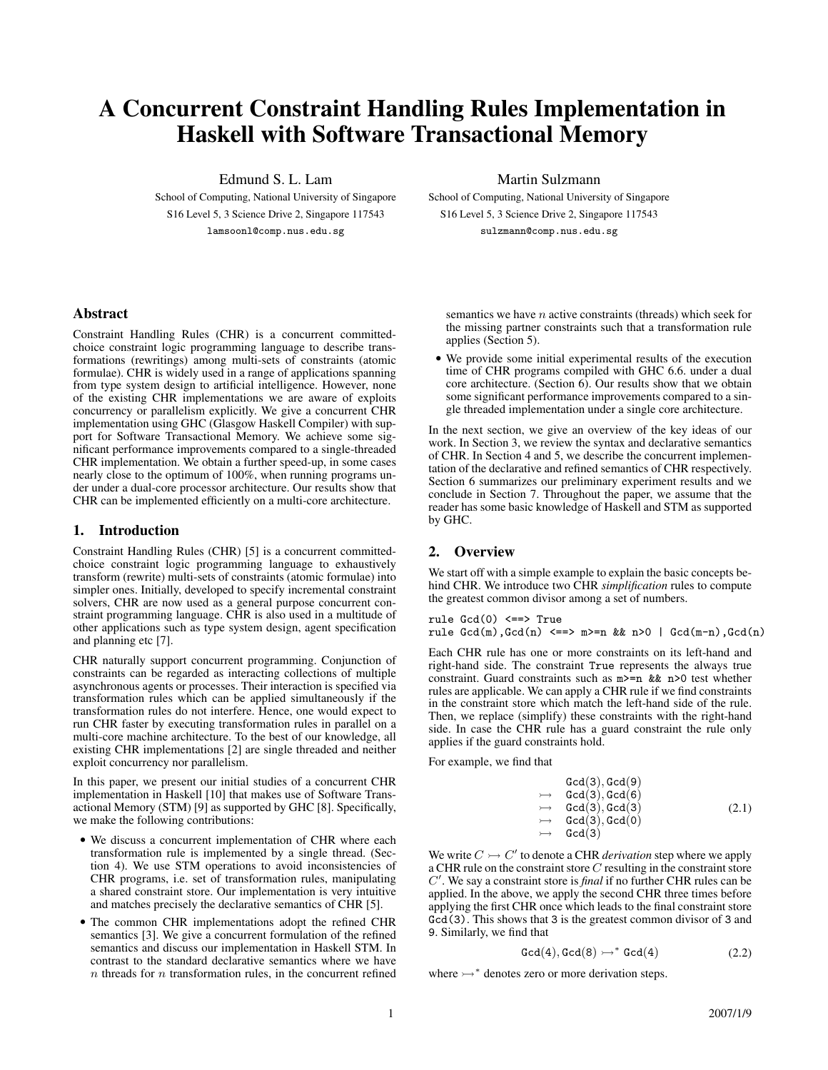# A Concurrent Constraint Handling Rules Implementation in Haskell with Software Transactional Memory

Edmund S. L. Lam

School of Computing, National University of Singapore S16 Level 5, 3 Science Drive 2, Singapore 117543 lamsoonl@comp.nus.edu.sg

Martin Sulzmann

School of Computing, National University of Singapore S16 Level 5, 3 Science Drive 2, Singapore 117543 sulzmann@comp.nus.edu.sg

### Abstract

Constraint Handling Rules (CHR) is a concurrent committedchoice constraint logic programming language to describe transformations (rewritings) among multi-sets of constraints (atomic formulae). CHR is widely used in a range of applications spanning from type system design to artificial intelligence. However, none of the existing CHR implementations we are aware of exploits concurrency or parallelism explicitly. We give a concurrent CHR implementation using GHC (Glasgow Haskell Compiler) with support for Software Transactional Memory. We achieve some significant performance improvements compared to a single-threaded CHR implementation. We obtain a further speed-up, in some cases nearly close to the optimum of 100%, when running programs under under a dual-core processor architecture. Our results show that CHR can be implemented efficiently on a multi-core architecture.

### 1. Introduction

Constraint Handling Rules (CHR) [5] is a concurrent committedchoice constraint logic programming language to exhaustively transform (rewrite) multi-sets of constraints (atomic formulae) into simpler ones. Initially, developed to specify incremental constraint solvers, CHR are now used as a general purpose concurrent constraint programming language. CHR is also used in a multitude of other applications such as type system design, agent specification and planning etc [7].

CHR naturally support concurrent programming. Conjunction of constraints can be regarded as interacting collections of multiple asynchronous agents or processes. Their interaction is specified via transformation rules which can be applied simultaneously if the transformation rules do not interfere. Hence, one would expect to run CHR faster by executing transformation rules in parallel on a multi-core machine architecture. To the best of our knowledge, all existing CHR implementations [2] are single threaded and neither exploit concurrency nor parallelism.

In this paper, we present our initial studies of a concurrent CHR implementation in Haskell [10] that makes use of Software Transactional Memory (STM) [9] as supported by GHC [8]. Specifically, we make the following contributions:

- We discuss a concurrent implementation of CHR where each transformation rule is implemented by a single thread. (Section 4). We use STM operations to avoid inconsistencies of CHR programs, i.e. set of transformation rules, manipulating a shared constraint store. Our implementation is very intuitive and matches precisely the declarative semantics of CHR [5].
- The common CHR implementations adopt the refined CHR semantics [3]. We give a concurrent formulation of the refined semantics and discuss our implementation in Haskell STM. In contrast to the standard declarative semantics where we have  $n$  threads for  $n$  transformation rules, in the concurrent refined

semantics we have  $n$  active constraints (threads) which seek for the missing partner constraints such that a transformation rule applies (Section 5).

• We provide some initial experimental results of the execution time of CHR programs compiled with GHC 6.6. under a dual core architecture. (Section 6). Our results show that we obtain some significant performance improvements compared to a single threaded implementation under a single core architecture.

In the next section, we give an overview of the key ideas of our work. In Section 3, we review the syntax and declarative semantics of CHR. In Section 4 and 5, we describe the concurrent implementation of the declarative and refined semantics of CHR respectively. Section 6 summarizes our preliminary experiment results and we conclude in Section 7. Throughout the paper, we assume that the reader has some basic knowledge of Haskell and STM as supported by GHC.

## 2. Overview

We start off with a simple example to explain the basic concepts behind CHR. We introduce two CHR *simplification* rules to compute the greatest common divisor among a set of numbers.

rule  $Gcd(0) \leq z \Rightarrow True$ rule  $Gcd(m)$ , $Gcd(n)$   $\leq \Rightarrow m \geq n$  &  $n \geq 0$  |  $Gcd(m-n)$ , $Gcd(n)$ 

Each CHR rule has one or more constraints on its left-hand and right-hand side. The constraint True represents the always true constraint. Guard constraints such as m>=n && n>0 test whether rules are applicable. We can apply a CHR rule if we find constraints in the constraint store which match the left-hand side of the rule. Then, we replace (simplify) these constraints with the right-hand side. In case the CHR rule has a guard constraint the rule only applies if the guard constraints hold.

For example, we find that

$$
\begin{array}{rcl} \text{Gcd}(3), \text{Gcd}(9) \\ \rightarrow & \text{Gcd}(3), \text{Gcd}(6) \\ \rightarrow & \text{Gcd}(3), \text{Gcd}(3) \\ \rightarrow & \text{Gcd}(3), \text{Gcd}(0) \\ \rightarrow & \text{Gcd}(3) \end{array} \tag{2.1}
$$

We write  $C \rightarrowtail C'$  to denote a CHR *derivation* step where we apply a CHR rule on the constraint store  $C$  resulting in the constraint store C 0 . We say a constraint store is *final* if no further CHR rules can be applied. In the above, we apply the second CHR three times before applying the first CHR once which leads to the final constraint store Gcd(3). This shows that 3 is the greatest common divisor of 3 and 9. Similarly, we find that

$$
\text{Gcd}(4), \text{Gcd}(8) \rightarrow^* \text{Gcd}(4) \tag{2.2}
$$

where  $\rightarrow$ <sup>\*</sup> denotes zero or more derivation steps.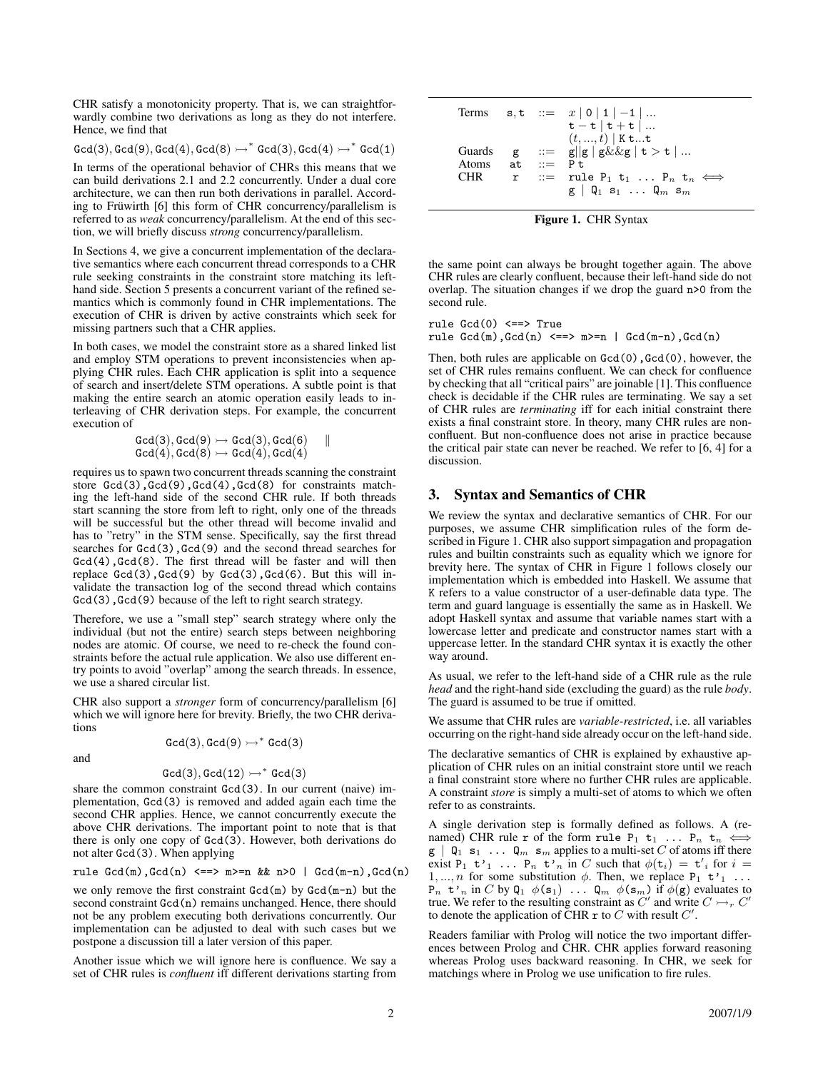CHR satisfy a monotonicity property. That is, we can straightforwardly combine two derivations as long as they do not interfere. Hence, we find that

 $\texttt{Gcd}(3), \texttt{Gcd}(9), \texttt{Gcd}(4), \texttt{Gcd}(8) \rightarrow^* \texttt{Gcd}(3), \texttt{Gcd}(4) \rightarrow^* \texttt{Gcd}(1)$ 

In terms of the operational behavior of CHRs this means that we can build derivations 2.1 and 2.2 concurrently. Under a dual core architecture, we can then run both derivations in parallel. According to Früwirth [6] this form of CHR concurrency/parallelism is referred to as *weak* concurrency/parallelism. At the end of this section, we will briefly discuss *strong* concurrency/parallelism.

In Sections 4, we give a concurrent implementation of the declarative semantics where each concurrent thread corresponds to a CHR rule seeking constraints in the constraint store matching its lefthand side. Section 5 presents a concurrent variant of the refined semantics which is commonly found in CHR implementations. The execution of CHR is driven by active constraints which seek for missing partners such that a CHR applies.

In both cases, we model the constraint store as a shared linked list and employ STM operations to prevent inconsistencies when applying CHR rules. Each CHR application is split into a sequence of search and insert/delete STM operations. A subtle point is that making the entire search an atomic operation easily leads to interleaving of CHR derivation steps. For example, the concurrent execution of

$$
\begin{array}{ll}\texttt{Gcd}(3), \texttt{Gcd}(9) \rightarrowtail \texttt{Gcd}(3), \texttt{Gcd}(6) & ||\\ \texttt{Gcd}(4), \texttt{Gcd}(8) \rightarrowtail \texttt{Gcd}(4), \texttt{Gcd}(4)\end{array}
$$

requires us to spawn two concurrent threads scanning the constraint store  $Gcd(3)$ ,  $Gcd(9)$ ,  $Gcd(4)$ ,  $Gcd(8)$  for constraints matching the left-hand side of the second CHR rule. If both threads start scanning the store from left to right, only one of the threads will be successful but the other thread will become invalid and has to "retry" in the STM sense. Specifically, say the first thread searches for  $Gcd(3)$ ,  $Gcd(9)$  and the second thread searches for  $Gcd(4)$ ,  $Gcd(8)$ . The first thread will be faster and will then replace  $Gcd(3)$ ,  $Gcd(9)$  by  $Gcd(3)$ ,  $Gcd(6)$ . But this will invalidate the transaction log of the second thread which contains Gcd(3), Gcd(9) because of the left to right search strategy.

Therefore, we use a "small step" search strategy where only the individual (but not the entire) search steps between neighboring nodes are atomic. Of course, we need to re-check the found constraints before the actual rule application. We also use different entry points to avoid "overlap" among the search threads. In essence, we use a shared circular list.

CHR also support a *stronger* form of concurrency/parallelism [6] which we will ignore here for brevity. Briefly, the two CHR derivations

$$
\mathtt{Gcd}(3), \mathtt{Gcd}(9) \rightarrow^* \mathtt{Gcd}(3)
$$

and

$$
\texttt{Gcd}(3), \texttt{Gcd}(12) \rightarrow^* \texttt{Gcd}(3)
$$

share the common constraint Gcd(3). In our current (naive) implementation, Gcd(3) is removed and added again each time the second CHR applies. Hence, we cannot concurrently execute the above CHR derivations. The important point to note that is that there is only one copy of Gcd(3). However, both derivations do not alter Gcd(3). When applying

rule  $Gcd(m)$ , $Gcd(n) \iff m \ge n$  &  $n>0$  |  $Gcd(m-n)$ , $Gcd(n)$ 

we only remove the first constraint  $\text{Gcd}(m)$  by  $\text{Gcd}(m-n)$  but the second constraint  $Gcd(n)$  remains unchanged. Hence, there should not be any problem executing both derivations concurrently. Our implementation can be adjusted to deal with such cases but we postpone a discussion till a later version of this paper.

Another issue which we will ignore here is confluence. We say a set of CHR rules is *confluent* iff different derivations starting from

| Terms                               |               |                                      | $s, t$ : $x   0   1   -1   $                                                                                                                                                                                                          |
|-------------------------------------|---------------|--------------------------------------|---------------------------------------------------------------------------------------------------------------------------------------------------------------------------------------------------------------------------------------|
| Guards<br>Atoms<br>CHR <sup>1</sup> | g<br>at.<br>r | $\mathbf{r} = \mathbf{P} \mathbf{t}$ | $t-t$   $t+t$  <br>$(t, , t)$   K tt<br>$ ::= g  g  g \& \& g  t > t   $<br>$ ::=$ rule $P_1$ t <sub>1</sub> $P_n$ t <sub>n</sub> $\Longleftrightarrow$<br>$\mathbf{g}$   Q <sub>1</sub> $\mathbf{s}_1$ Q <sub>m</sub> $\mathbf{s}_m$ |

Figure 1. CHR Syntax

the same point can always be brought together again. The above CHR rules are clearly confluent, because their left-hand side do not overlap. The situation changes if we drop the guard n>0 from the second rule.

rule Gcd(0) <==> True rule  $Gcd(m)$ , $Gcd(n) \leq r$  =>  $m$  >=n |  $Gcd(m-n)$ , $Gcd(n)$ 

Then, both rules are applicable on  $Gcd(0)$ ,  $Gcd(0)$ , however, the set of CHR rules remains confluent. We can check for confluence by checking that all "critical pairs" are joinable [1]. This confluence check is decidable if the CHR rules are terminating. We say a set of CHR rules are *terminating* iff for each initial constraint there exists a final constraint store. In theory, many CHR rules are nonconfluent. But non-confluence does not arise in practice because the critical pair state can never be reached. We refer to [6, 4] for a discussion.

#### 3. Syntax and Semantics of CHR

We review the syntax and declarative semantics of CHR. For our purposes, we assume CHR simplification rules of the form described in Figure 1. CHR also support simpagation and propagation rules and builtin constraints such as equality which we ignore for brevity here. The syntax of CHR in Figure 1 follows closely our implementation which is embedded into Haskell. We assume that K refers to a value constructor of a user-definable data type. The term and guard language is essentially the same as in Haskell. We adopt Haskell syntax and assume that variable names start with a lowercase letter and predicate and constructor names start with a uppercase letter. In the standard CHR syntax it is exactly the other way around.

As usual, we refer to the left-hand side of a CHR rule as the rule *head* and the right-hand side (excluding the guard) as the rule *body*. The guard is assumed to be true if omitted.

We assume that CHR rules are *variable-restricted*, i.e. all variables occurring on the right-hand side already occur on the left-hand side.

The declarative semantics of CHR is explained by exhaustive application of CHR rules on an initial constraint store until we reach a final constraint store where no further CHR rules are applicable. A constraint *store* is simply a multi-set of atoms to which we often refer to as constraints.

A single derivation step is formally defined as follows. A (renamed) CHR rule r of the form rule P<sub>1</sub> t<sub>1</sub> ... P<sub>n</sub> t<sub>n</sub>  $\iff$  $g | Q_1 s_1 ... Q_m s_m$  applies to a multi-set C of atoms iff there exist P<sub>1</sub>  $t'_1$  ... P<sub>n</sub>  $t'_n$  in C such that  $\phi(t_i) = t'_i$  for  $i =$ 1, ..., *n* for some substitution  $\phi$ . Then, we replace P<sub>1</sub> t'<sub>1</sub> ...  $P_n$  t'<sub>n</sub> in C by  $Q_1$   $\phi(s_1)$  ...  $Q_m$   $\phi(s_m)$  if  $\phi(g)$  evaluates to true. We refer to the resulting constraint as  $C'$  and write  $C \rightarrowtail_{r} C'$ to denote the application of CHR  $\mathbf r$  to  $C$  with result  $C'$ .

Readers familiar with Prolog will notice the two important differences between Prolog and CHR. CHR applies forward reasoning whereas Prolog uses backward reasoning. In CHR, we seek for matchings where in Prolog we use unification to fire rules.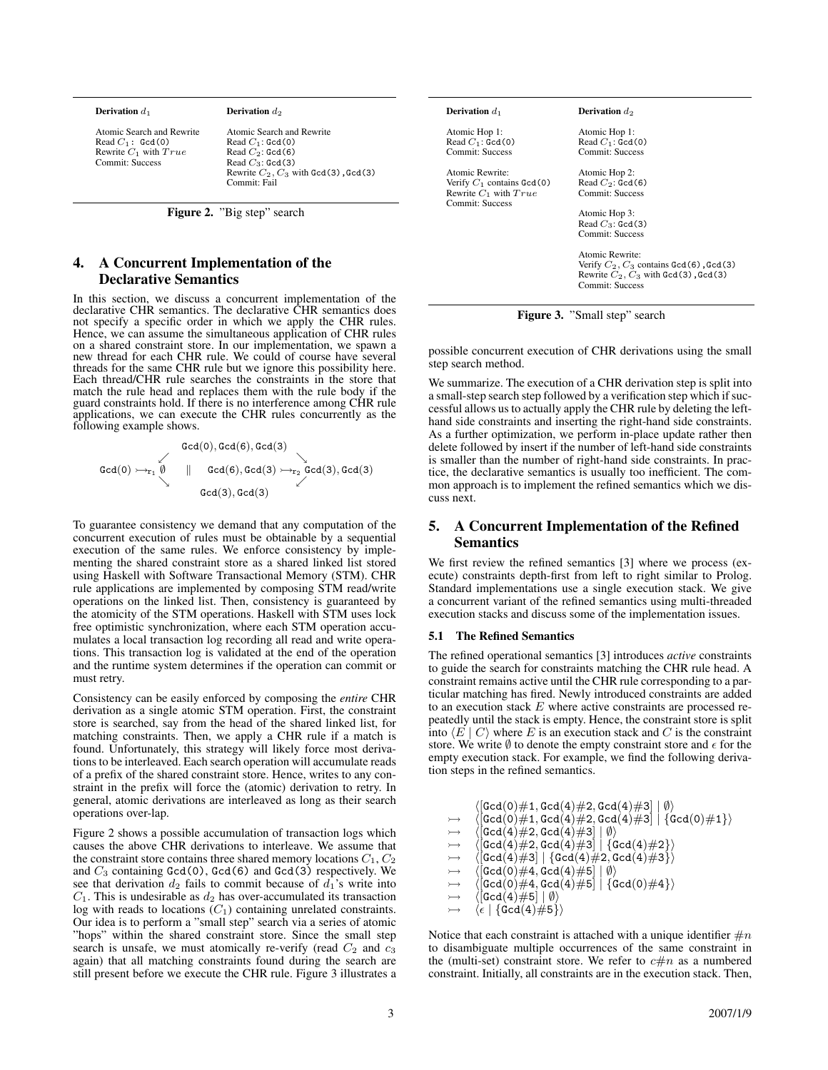|  | <b>Derivation</b> $d_1$ |  |  |
|--|-------------------------|--|--|
|--|-------------------------|--|--|

Derivation  $d_2$ 

Atomic Search and Rewrite Read  $C_1$ :  $\texttt{Gcd}(0)$ Rewrite  $C_1$  with  $True$ Commit: Success

Atomic Search and Rewrite  $\mbox{Read }C_1$  :  $\mbox{Gcd}(0)$  $\mbox{Read }C_2$  :  $\mbox{Gcd}(6)$ Read  $C_3$ : Gcd(3)<br>Rewrite  $C_2$ ,  $C_3$  with Gcd(3), Gcd(3) Commit: Fail

Figure 2. "Big step" search

## 4. A Concurrent Implementation of the Declarative Semantics

In this section, we discuss a concurrent implementation of the declarative CHR semantics. The declarative CHR semantics does not specify a specific order in which we apply the CHR rules. Hence, we can assume the simultaneous application of CHR rules on a shared constraint store. In our implementation, we spawn a new thread for each CHR rule. We could of course have several threads for the same CHR rule but we ignore this possibility here. Each thread/CHR rule searches the constraints in the store that match the rule head and replaces them with the rule body if the guard constraints hold. If there is no interference among CHR rule applications, we can execute the CHR rules concurrently as the following example shows.

 $\mathtt{Gcd}(0), \mathtt{Gcd}(6), \mathtt{Gcd}(3)$  $\texttt{Gcd}(0) \rightarrowtail_{r_1} \emptyset \quad || \quad \texttt{Gcd}(6), \texttt{Gcd}(3) \rightarrowtail_{r_2} \texttt{Gcd}(3), \texttt{Gcd}(3)$  $\mathtt{Gcd}(3), \mathtt{Gcd}(3)$ 

To guarantee consistency we demand that any computation of the concurrent execution of rules must be obtainable by a sequential execution of the same rules. We enforce consistency by implementing the shared constraint store as a shared linked list stored using Haskell with Software Transactional Memory (STM). CHR rule applications are implemented by composing STM read/write operations on the linked list. Then, consistency is guaranteed by the atomicity of the STM operations. Haskell with STM uses lock free optimistic synchronization, where each STM operation accumulates a local transaction log recording all read and write operations. This transaction log is validated at the end of the operation and the runtime system determines if the operation can commit or must retry.

Consistency can be easily enforced by composing the *entire* CHR derivation as a single atomic STM operation. First, the constraint store is searched, say from the head of the shared linked list, for matching constraints. Then, we apply a CHR rule if a match is found. Unfortunately, this strategy will likely force most derivations to be interleaved. Each search operation will accumulate reads of a prefix of the shared constraint store. Hence, writes to any constraint in the prefix will force the (atomic) derivation to retry. In general, atomic derivations are interleaved as long as their search operations over-lap.

Figure 2 shows a possible accumulation of transaction logs which causes the above CHR derivations to interleave. We assume that the constraint store contains three shared memory locations  $C_1, C_2$ and  $C_3$  containing Gcd(0), Gcd(6) and Gcd(3) respectively. We see that derivation  $d_2$  fails to commit because of  $d_1$ 's write into  $C_1$ . This is undesirable as  $d_2$  has over-accumulated its transaction log with reads to locations  $(C_1)$  containing unrelated constraints. Our idea is to perform a "small step" search via a series of atomic "hops" within the shared constraint store. Since the small step search is unsafe, we must atomically re-verify (read  $C_2$  and  $c_3$ ) again) that all matching constraints found during the search are still present before we execute the CHR rule. Figure 3 illustrates a

#### Derivation  $d_1$

Atomic Hop 1: Read  $C_1$ :  $\text{Gcd}(0)$ Commit: Success

Atomic Rewrite: Verify  $C_1$  contains  $\texttt{Gcd}(0)$ Rewrite  $C_1$  with  $True$ Commit: Success

Derivation  $d_2$ 

Atomic Hop 1: Read  $C_1$ :  $\text{Gcd}(0)$ Commit: Success

Atomic Hop 2: Read  $C_2$ : Gcd(6) Commit: Success

Atomic Hop 3: Read  $C_3$ :  $\text{Gcd}(3)$ Commit: Success

Atomic Rewrite: Verify  $C_2$ ,  $C_3$  contains Gcd(6), Gcd(3)<br>Rewrite  $C_2$ ,  $C_3$  with Gcd(3), Gcd(3) Commit: Success

Figure 3. "Small step" search

possible concurrent execution of CHR derivations using the small step search method.

We summarize. The execution of a CHR derivation step is split into a small-step search step followed by a verification step which if successful allows us to actually apply the CHR rule by deleting the lefthand side constraints and inserting the right-hand side constraints. As a further optimization, we perform in-place update rather then delete followed by insert if the number of left-hand side constraints is smaller than the number of right-hand side constraints. In practice, the declarative semantics is usually too inefficient. The common approach is to implement the refined semantics which we discuss next.

## 5. A Concurrent Implementation of the Refined Semantics

We first review the refined semantics [3] where we process (execute) constraints depth-first from left to right similar to Prolog. Standard implementations use a single execution stack. We give a concurrent variant of the refined semantics using multi-threaded execution stacks and discuss some of the implementation issues.

#### 5.1 The Refined Semantics

The refined operational semantics [3] introduces *active* constraints to guide the search for constraints matching the CHR rule head. A constraint remains active until the CHR rule corresponding to a particular matching has fired. Newly introduced constraints are added to an execution stack  $E$  where active constraints are processed repeatedly until the stack is empty. Hence, the constraint store is split into  $\langle E | C \rangle$  where E is an execution stack and C is the constraint store. We write  $\emptyset$  to denote the empty constraint store and  $\epsilon$  for the empty execution stack. For example, we find the following derivation steps in the refined semantics.

|                   | $\langle [\texttt{Gcd}(0) \# 1, \texttt{Gcd}(4) \# 2, \texttt{Gcd}(4) \# 3] \mid \emptyset \rangle$                                         |
|-------------------|---------------------------------------------------------------------------------------------------------------------------------------------|
| $\rightarrowtail$ | $\langle [\texttt{Gcd(0)}\#\texttt{1},\texttt{Gcd(4)}\#\texttt{2},\texttt{Gcd(4)}\#\texttt{3}] \mid \{\texttt{Gcd(0)}\#\texttt{1}\}\rangle$ |
| $\rightarrowtail$ | $\langle [\texttt{Gcd(4)}\#2,\texttt{Gcd(4)}\#3] \mid \emptyset \rangle$                                                                    |
| $\rightarrowtail$ | $\langle [\texttt{Gcd(4)}\#2,\texttt{Gcd(4)}\#3]\mid \{\texttt{Gcd(4)}\#2\}\rangle$                                                         |
| $\rightarrowtail$ | $\langle [\texttt{Gcd}(4)\#3] \mid \{\texttt{Gcd}(4)\#2,\texttt{Gcd}(4)\#3\} \rangle$                                                       |
| $\rightarrowtail$ | $\langle [\texttt{Gcd}(0) \# 4, \texttt{Gcd}(4) \# 5]   \emptyset \rangle$                                                                  |
| $\rightarrowtail$ | $\langle [\texttt{Gcd}(0) \# 4, \texttt{Gcd}(4) \# 5] \mid \{\texttt{Gcd}(0) \# 4\} \rangle$                                                |
| $\rightarrowtail$ | $\langle$ [Gcd(4)#5]   $\emptyset$                                                                                                          |
| $\rightarrowtail$ | $\langle \epsilon \mid \{\texttt{Gcd(4)} \# \texttt{5}\} \rangle$                                                                           |

Notice that each constraint is attached with a unique identifier  $\#n$ to disambiguate multiple occurrences of the same constraint in the (multi-set) constraint store. We refer to  $c \# n$  as a numbered constraint. Initially, all constraints are in the execution stack. Then,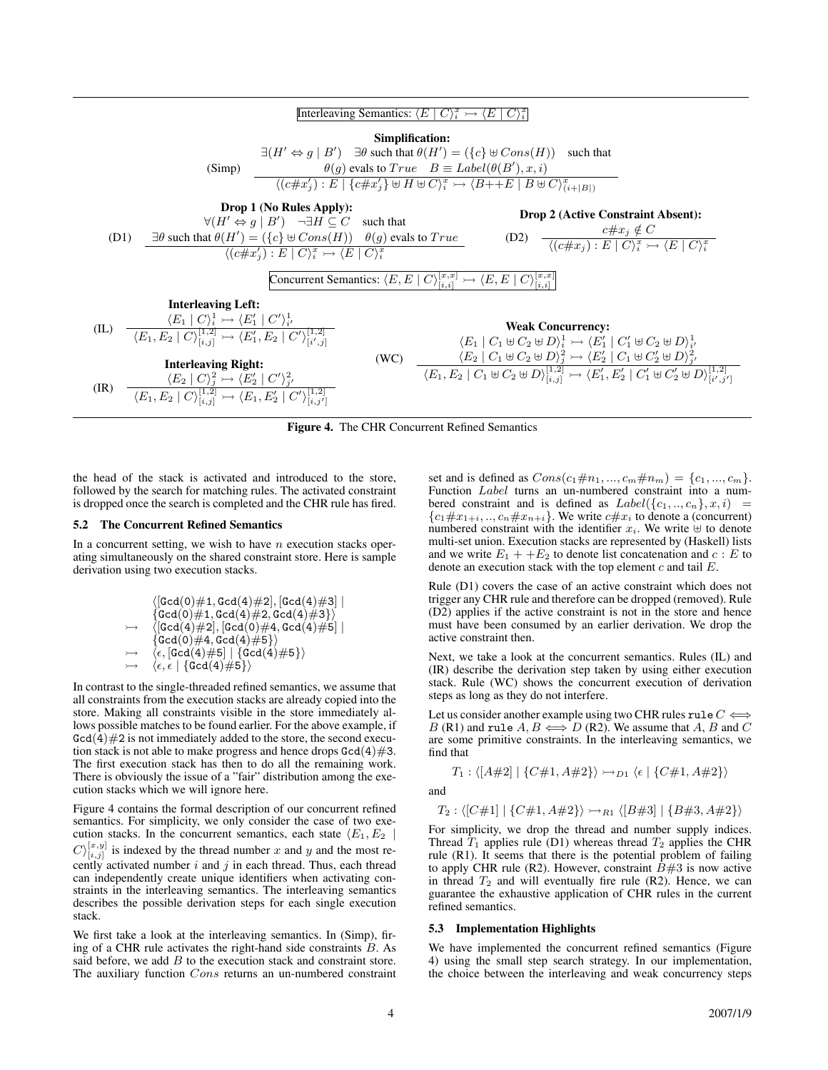

Figure 4. The CHR Concurrent Refined Semantics

the head of the stack is activated and introduced to the store, followed by the search for matching rules. The activated constraint is dropped once the search is completed and the CHR rule has fired.

#### 5.2 The Concurrent Refined Semantics

In a concurrent setting, we wish to have  $n$  execution stacks operating simultaneously on the shared constraint store. Here is sample derivation using two execution stacks.

$$
\langle [\text{Gcd}(0) \# 1, \text{Gcd}(4) \# 2], [\text{Gcd}(4) \# 3] \mid \newline \{\text{Gcd}(0) \# 1, \text{Gcd}(4) \# 2, \text{Gcd}(4) \# 3\} \rangle \\\rightarrow \quad \langle [\text{Gcd}(4) \# 2], [\text{Gcd}(0) \# 4, \text{Gcd}(4) \# 5] \mid \newline \{\text{Gcd}(0) \# 4, \text{Gcd}(4) \# 5\} \rangle \\\rightarrow \quad \langle \epsilon, [\text{Gcd}(4) \# 5] \mid \{\text{Gcd}(4) \# 5\} \rangle \\\rightarrow \quad \langle \epsilon, \epsilon \mid \{\text{Gcd}(4) \# 5\} \rangle
$$

In contrast to the single-threaded refined semantics, we assume that all constraints from the execution stacks are already copied into the store. Making all constraints visible in the store immediately allows possible matches to be found earlier. For the above example, if  $\text{Gcd}(4) \# 2$  is not immediately added to the store, the second execution stack is not able to make progress and hence drops  $\text{Gcd}(4)\#3$ . The first execution stack has then to do all the remaining work. There is obviously the issue of a "fair" distribution among the execution stacks which we will ignore here.

Figure 4 contains the formal description of our concurrent refined semantics. For simplicity, we only consider the case of two execution stacks. In the concurrent semantics, each state  $\langle E_1, E_2 \rangle$  $C_{i,j}^{[x,y]}$  is indexed by the thread number x and y and the most recently activated number  $i$  and  $j$  in each thread. Thus, each thread can independently create unique identifiers when activating constraints in the interleaving semantics. The interleaving semantics describes the possible derivation steps for each single execution stack.

We first take a look at the interleaving semantics. In (Simp), firing of a CHR rule activates the right-hand side constraints B. As said before, we add  $B$  to the execution stack and constraint store. The auxiliary function Cons returns an un-numbered constraint

set and is defined as  $Cons(c_1\#n_1, ..., c_m\#n_m) = \{c_1, ..., c_m\}.$ Function Label turns an un-numbered constraint into a numbered constraint and is defined as  $Label({c_1, ..., c_n}, x, i) =$  ${c_1 \# x_{1+i}, \ldots, c_n \# x_{n+i}}$ . We write  $c \# x_i$  to denote a (concurrent) numbered constraint with the identifier  $x_i$ . We write  $\forall$  to denote multi-set union. Execution stacks are represented by (Haskell) lists and we write  $E_1 + +E_2$  to denote list concatenation and  $c : E$  to denote an execution stack with the top element  $c$  and tail  $E$ .

Rule (D1) covers the case of an active constraint which does not trigger any CHR rule and therefore can be dropped (removed). Rule (D2) applies if the active constraint is not in the store and hence must have been consumed by an earlier derivation. We drop the active constraint then.

Next, we take a look at the concurrent semantics. Rules (IL) and (IR) describe the derivation step taken by using either execution stack. Rule (WC) shows the concurrent execution of derivation steps as long as they do not interfere.

Let us consider another example using two CHR rules rule  $C \Longleftrightarrow$ B (R1) and rule  $A, B \Longleftrightarrow D$  (R2). We assume that A, B and C are some primitive constraints. In the interleaving semantics, we find that

$$
T_1: \langle [A\#2] | \{C\#1, A\#2\} \rangle \rightarrow_{D_1} \langle \epsilon | \{C\#1, A\#2\} \rangle
$$

and

$$
T_2: \langle [C\#1] | \{C\#1, A\#2\} \rangle \rightarrow_{R1} \langle [B\#3] | \{B\#3, A\#2\} \rangle
$$

For simplicity, we drop the thread and number supply indices. Thread  $T_1$  applies rule (D1) whereas thread  $T_2$  applies the CHR rule (R1). It seems that there is the potential problem of failing to apply CHR rule (R2). However, constraint  $\dot{B}=3$  is now active in thread  $T_2$  and will eventually fire rule (R2). Hence, we can guarantee the exhaustive application of CHR rules in the current refined semantics.

#### 5.3 Implementation Highlights

We have implemented the concurrent refined semantics (Figure 4) using the small step search strategy. In our implementation, the choice between the interleaving and weak concurrency steps